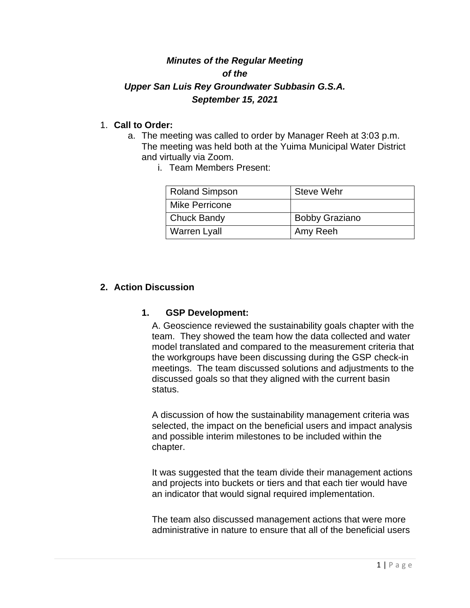# *Minutes of the Regular Meeting of the Upper San Luis Rey Groundwater Subbasin G.S.A. September 15, 2021*

### 1. **Call to Order:**

- a. The meeting was called to order by Manager Reeh at 3:03 p.m. The meeting was held both at the Yuima Municipal Water District and virtually via Zoom.
	- i. Team Members Present:

| Roland Simpson        | <b>Steve Wehr</b>     |
|-----------------------|-----------------------|
| <b>Mike Perricone</b> |                       |
| Chuck Bandy           | <b>Bobby Graziano</b> |
| Warren Lyall          | Amy Reeh              |

#### **2. Action Discussion**

#### **1. GSP Development:**

A. Geoscience reviewed the sustainability goals chapter with the team. They showed the team how the data collected and water model translated and compared to the measurement criteria that the workgroups have been discussing during the GSP check-in meetings. The team discussed solutions and adjustments to the discussed goals so that they aligned with the current basin status.

A discussion of how the sustainability management criteria was selected, the impact on the beneficial users and impact analysis and possible interim milestones to be included within the chapter.

It was suggested that the team divide their management actions and projects into buckets or tiers and that each tier would have an indicator that would signal required implementation.

The team also discussed management actions that were more administrative in nature to ensure that all of the beneficial users